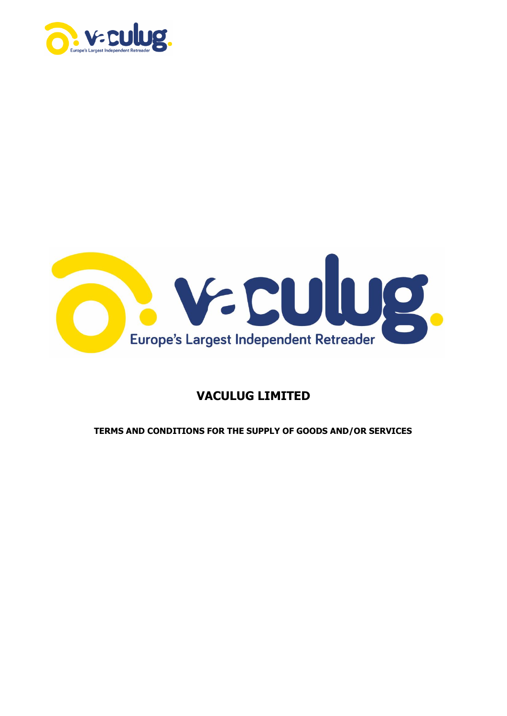



# **VACULUG LIMITED**

**TERMS AND CONDITIONS FOR THE SUPPLY OF GOODS AND/OR SERVICES**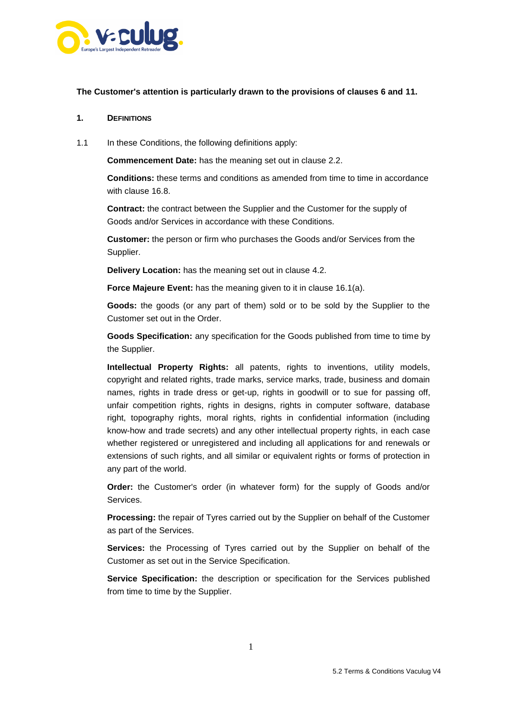

#### **The Customer's attention is particularly drawn to the provisions of clauses 6 and [11.](#page-9-0)**

#### **1. DEFINITIONS**

1.1 In these Conditions, the following definitions apply:

**Commencement Date:** has the meaning set out in clause [2.2.](#page-2-0)

**Conditions:** these terms and conditions as amended from time to time in accordance with clause [16.8.](#page-14-0)

**Contract:** the contract between the Supplier and the Customer for the supply of Goods and/or Services in accordance with these Conditions.

**Customer:** the person or firm who purchases the Goods and/or Services from the Supplier.

**Delivery Location:** has the meaning set out in clause [4.2.](#page-3-0)

**Force Majeure Event:** has the meaning given to it in clause [16.1\(a\).](#page-12-0)

**Goods:** the goods (or any part of them) sold or to be sold by the Supplier to the Customer set out in the Order.

**Goods Specification:** any specification for the Goods published from time to time by the Supplier.

**Intellectual Property Rights:** all patents, rights to inventions, utility models, copyright and related rights, trade marks, service marks, trade, business and domain names, rights in trade dress or get-up, rights in goodwill or to sue for passing off, unfair competition rights, rights in designs, rights in computer software, database right, topography rights, moral rights, rights in confidential information (including know-how and trade secrets) and any other intellectual property rights, in each case whether registered or unregistered and including all applications for and renewals or extensions of such rights, and all similar or equivalent rights or forms of protection in any part of the world.

**Order:** the Customer's order (in whatever form) for the supply of Goods and/or Services.

**Processing:** the repair of Tyres carried out by the Supplier on behalf of the Customer as part of the Services.

**Services:** the Processing of Tyres carried out by the Supplier on behalf of the Customer as set out in the Service Specification.

**Service Specification:** the description or specification for the Services published from time to time by the Supplier.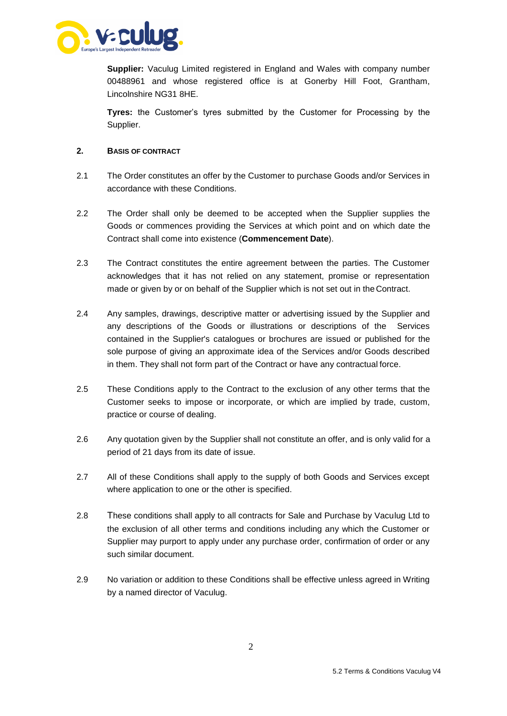

**Supplier:** Vaculug Limited registered in England and Wales with company number 00488961 and whose registered office is at Gonerby Hill Foot, Grantham, Lincolnshire NG31 8HE.

**Tyres:** the Customer's tyres submitted by the Customer for Processing by the Supplier.

# **2. BASIS OF CONTRACT**

- 2.1 The Order constitutes an offer by the Customer to purchase Goods and/or Services in accordance with these Conditions.
- <span id="page-2-0"></span>2.2 The Order shall only be deemed to be accepted when the Supplier supplies the Goods or commences providing the Services at which point and on which date the Contract shall come into existence (**Commencement Date**).
- 2.3 The Contract constitutes the entire agreement between the parties. The Customer acknowledges that it has not relied on any statement, promise or representation made or given by or on behalf of the Supplier which is not set out in the Contract.
- 2.4 Any samples, drawings, descriptive matter or advertising issued by the Supplier and any descriptions of the Goods or illustrations or descriptions of the Services contained in the Supplier's catalogues or brochures are issued or published for the sole purpose of giving an approximate idea of the Services and/or Goods described in them. They shall not form part of the Contract or have any contractual force.
- 2.5 These Conditions apply to the Contract to the exclusion of any other terms that the Customer seeks to impose or incorporate, or which are implied by trade, custom, practice or course of dealing.
- 2.6 Any quotation given by the Supplier shall not constitute an offer, and is only valid for a period of 21 days from its date of issue.
- 2.7 All of these Conditions shall apply to the supply of both Goods and Services except where application to one or the other is specified.
- 2.8 These conditions shall apply to all contracts for Sale and Purchase by Vaculug Ltd to the exclusion of all other terms and conditions including any which the Customer or Supplier may purport to apply under any purchase order, confirmation of order or any such similar document.
- 2.9 No variation or addition to these Conditions shall be effective unless agreed in Writing by a named director of Vaculug.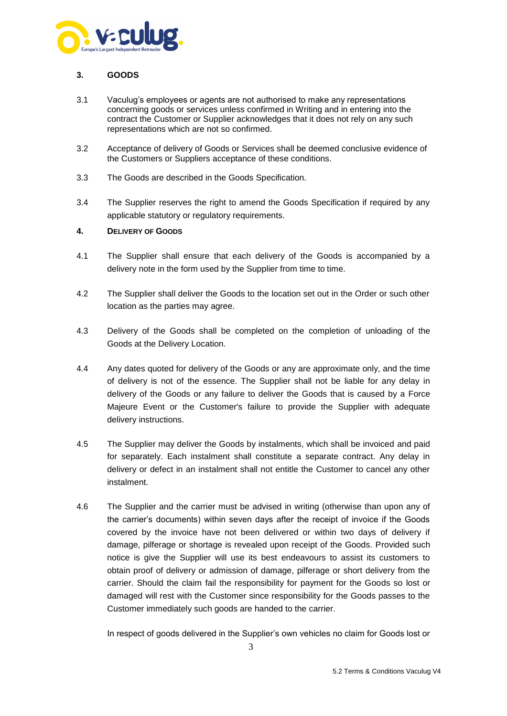

# **3. GOODS**

- 3.1 Vaculug's employees or agents are not authorised to make any representations concerning goods or services unless confirmed in Writing and in entering into the contract the Customer or Supplier acknowledges that it does not rely on any such representations which are not so confirmed.
- 3.2 Acceptance of delivery of Goods or Services shall be deemed conclusive evidence of the Customers or Suppliers acceptance of these conditions.
- 3.3 The Goods are described in the Goods Specification.
- 3.4 The Supplier reserves the right to amend the Goods Specification if required by any applicable statutory or regulatory requirements.

#### **4. DELIVERY OF GOODS**

- 4.1 The Supplier shall ensure that each delivery of the Goods is accompanied by a delivery note in the form used by the Supplier from time to time.
- <span id="page-3-0"></span>4.2 The Supplier shall deliver the Goods to the location set out in the Order or such other location as the parties may agree.
- 4.3 Delivery of the Goods shall be completed on the completion of unloading of the Goods at the Delivery Location.
- 4.4 Any dates quoted for delivery of the Goods or any are approximate only, and the time of delivery is not of the essence. The Supplier shall not be liable for any delay in delivery of the Goods or any failure to deliver the Goods that is caused by a Force Majeure Event or the Customer's failure to provide the Supplier with adequate delivery instructions.
- 4.5 The Supplier may deliver the Goods by instalments, which shall be invoiced and paid for separately. Each instalment shall constitute a separate contract. Any delay in delivery or defect in an instalment shall not entitle the Customer to cancel any other instalment.
- 4.6 The Supplier and the carrier must be advised in writing (otherwise than upon any of the carrier's documents) within seven days after the receipt of invoice if the Goods covered by the invoice have not been delivered or within two days of delivery if damage, pilferage or shortage is revealed upon receipt of the Goods. Provided such notice is give the Supplier will use its best endeavours to assist its customers to obtain proof of delivery or admission of damage, pilferage or short delivery from the carrier. Should the claim fail the responsibility for payment for the Goods so lost or damaged will rest with the Customer since responsibility for the Goods passes to the Customer immediately such goods are handed to the carrier.

In respect of goods delivered in the Supplier's own vehicles no claim for Goods lost or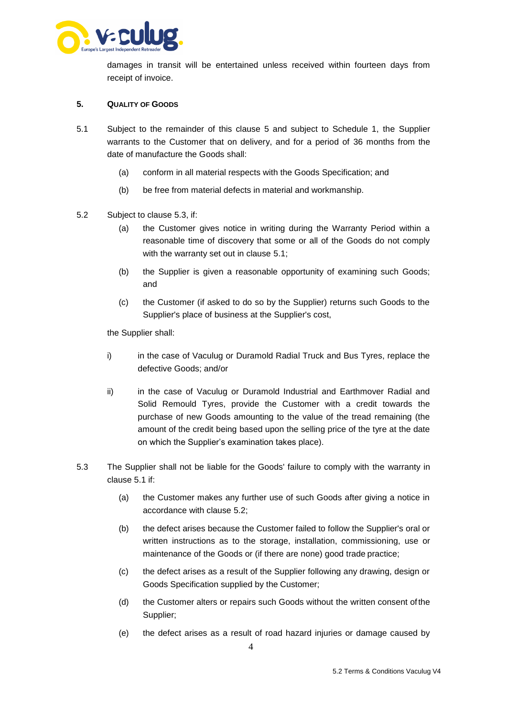

damages in transit will be entertained unless received within fourteen days from receipt of invoice.

#### <span id="page-4-1"></span>**5. QUALITY OF GOODS**

- 5.1 Subject to the remainder of this clause 5 and subject to Schedule 1, the Supplier warrants to the Customer that on delivery, and for a period of 36 months from the date of manufacture the Goods shall:
	- (a) conform in all material respects with the Goods Specification; and
	- (b) be free from material defects in material and workmanship.
- <span id="page-4-2"></span>5.2 Subject to clause [5.3, if](#page-4-0):
	- (a) the Customer gives notice in writing during the Warranty Period within a reasonable time of discovery that some or all of the Goods do not comply with the warranty set out in clause [5.1;](#page-4-1)
	- (b) the Supplier is given a reasonable opportunity of examining such Goods; and
	- (c) the Customer (if asked to do so by the Supplier) returns such Goods to the Supplier's place of business at the Supplier's cost,

the Supplier shall:

- i) in the case of Vaculug or Duramold Radial Truck and Bus Tyres, replace the defective Goods; and/or
- ii) in the case of Vaculug or Duramold Industrial and Earthmover Radial and Solid Remould Tyres, provide the Customer with a credit towards the purchase of new Goods amounting to the value of the tread remaining (the amount of the credit being based upon the selling price of the tyre at the date on which the Supplier's examination takes place).
- <span id="page-4-0"></span>5.3 The Supplier shall not be liable for the Goods' failure to comply with the warranty in clause [5.1 if](#page-4-1):
	- (a) the Customer makes any further use of such Goods after giving a notice in accordance with clause [5.2;](#page-4-2)
	- (b) the defect arises because the Customer failed to follow the Supplier's oral or written instructions as to the storage, installation, commissioning, use or maintenance of the Goods or (if there are none) good trade practice;
	- (c) the defect arises as a result of the Supplier following any drawing, design or Goods Specification supplied by the Customer;
	- (d) the Customer alters or repairs such Goods without the written consent of the Supplier;
	- (e) the defect arises as a result of road hazard injuries or damage caused by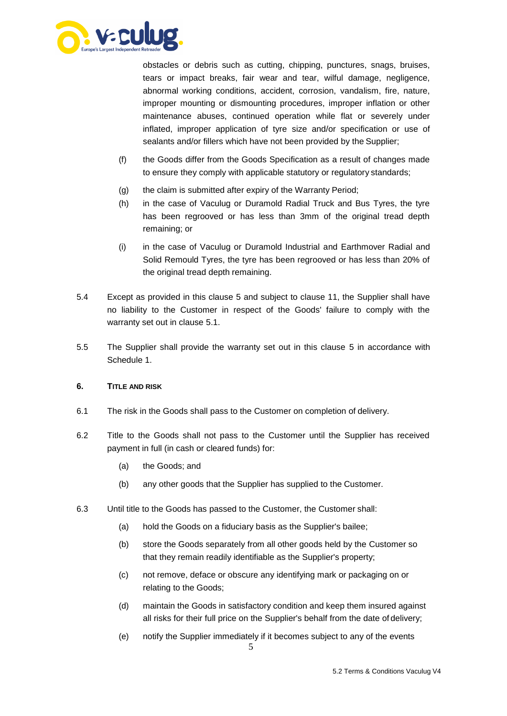

obstacles or debris such as cutting, chipping, punctures, snags, bruises, tears or impact breaks, fair wear and tear, wilful damage, negligence, abnormal working conditions, accident, corrosion, vandalism, fire, nature, improper mounting or dismounting procedures, improper inflation or other maintenance abuses, continued operation while flat or severely under inflated, improper application of tyre size and/or specification or use of sealants and/or fillers which have not been provided by the Supplier;

- (f) the Goods differ from the Goods Specification as a result of changes made to ensure they comply with applicable statutory or regulatory standards;
- (g) the claim is submitted after expiry of the Warranty Period;
- (h) in the case of Vaculug or Duramold Radial Truck and Bus Tyres, the tyre has been regrooved or has less than 3mm of the original tread depth remaining; or
- (i) in the case of Vaculug or Duramold Industrial and Earthmover Radial and Solid Remould Tyres, the tyre has been regrooved or has less than 20% of the original tread depth remaining.
- 5.4 Except as provided in this clause [5 a](#page-4-1)nd subject to clause 11, the Supplier shall have no liability to the Customer in respect of the Goods' failure to comply with the warranty set out in clause [5.1.](#page-4-1)
- 5.5 The Supplier shall provide the warranty set out in this clause [5](#page-4-1) in accordance with Schedule 1.

#### **6. TITLE AND RISK**

- 6.1 The risk in the Goods shall pass to the Customer on completion of delivery.
- 6.2 Title to the Goods shall not pass to the Customer until the Supplier has received payment in full (in cash or cleared funds) for:
	- (a) the Goods; and
	- (b) any other goods that the Supplier has supplied to the Customer.
- 6.3 Until title to the Goods has passed to the Customer, the Customer shall:
	- (a) hold the Goods on a fiduciary basis as the Supplier's bailee;
	- (b) store the Goods separately from all other goods held by the Customer so that they remain readily identifiable as the Supplier's property;
	- (c) not remove, deface or obscure any identifying mark or packaging on or relating to the Goods;
	- (d) maintain the Goods in satisfactory condition and keep them insured against all risks for their full price on the Supplier's behalf from the date of delivery;
	- (e) notify the Supplier immediately if it becomes subject to any of the events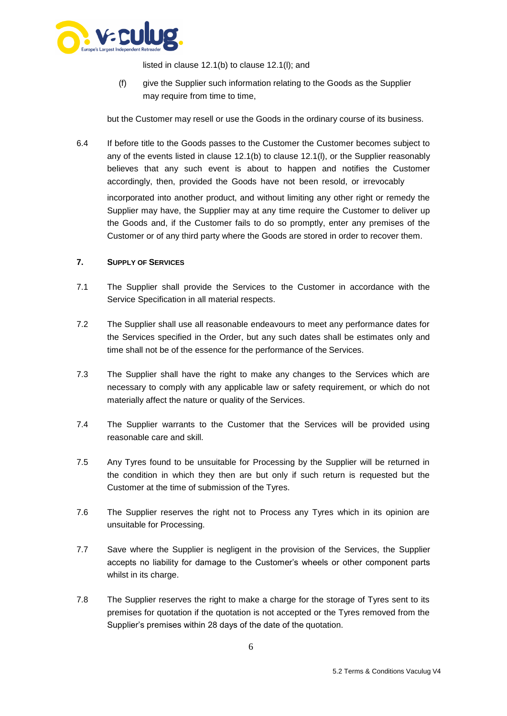

listed in clause [12.1\(b\) t](#page-10-0)o clause [12.1\(l\); a](#page-11-0)nd

(f) give the Supplier such information relating to the Goods as the Supplier may require from time to time,

but the Customer may resell or use the Goods in the ordinary course of its business.

6.4 If before title to the Goods passes to the Customer the Customer becomes subject to any of the events listed in clause [12.1\(b\) t](#page-10-0)o clause [12.1\(l\), o](#page-11-0)r the Supplier reasonably believes that any such event is about to happen and notifies the Customer accordingly, then, provided the Goods have not been resold, or irrevocably incorporated into another product, and without limiting any other right or remedy the Supplier may have, the Supplier may at any time require the Customer to deliver up the Goods and, if the Customer fails to do so promptly, enter any premises of the Customer or of any third party where the Goods are stored in order to recover them.

# **7. SUPPLY OF SERVICES**

- 7.1 The Supplier shall provide the Services to the Customer in accordance with the Service Specification in all material respects.
- 7.2 The Supplier shall use all reasonable endeavours to meet any performance dates for the Services specified in the Order, but any such dates shall be estimates only and time shall not be of the essence for the performance of the Services.
- 7.3 The Supplier shall have the right to make any changes to the Services which are necessary to comply with any applicable law or safety requirement, or which do not materially affect the nature or quality of the Services.
- 7.4 The Supplier warrants to the Customer that the Services will be provided using reasonable care and skill.
- 7.5 Any Tyres found to be unsuitable for Processing by the Supplier will be returned in the condition in which they then are but only if such return is requested but the Customer at the time of submission of the Tyres.
- 7.6 The Supplier reserves the right not to Process any Tyres which in its opinion are unsuitable for Processing.
- 7.7 Save where the Supplier is negligent in the provision of the Services, the Supplier accepts no liability for damage to the Customer's wheels or other component parts whilst in its charge.
- 7.8 The Supplier reserves the right to make a charge for the storage of Tyres sent to its premises for quotation if the quotation is not accepted or the Tyres removed from the Supplier's premises within 28 days of the date of the quotation.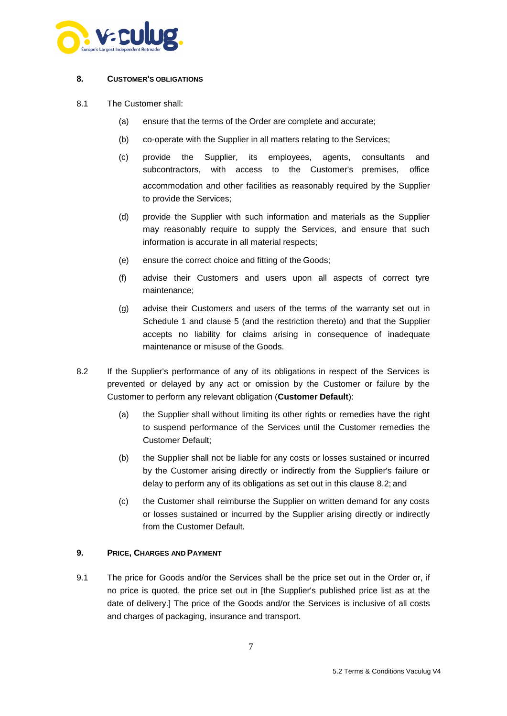

#### **8. CUSTOMER'S OBLIGATIONS**

- 8.1 The Customer shall:
	- (a) ensure that the terms of the Order are complete and accurate;
	- (b) co-operate with the Supplier in all matters relating to the Services;
	- (c) provide the Supplier, its employees, agents, consultants and subcontractors, with access to the Customer's premises, office accommodation and other facilities as reasonably required by the Supplier to provide the Services;
	- (d) provide the Supplier with such information and materials as the Supplier may reasonably require to supply the Services, and ensure that such information is accurate in all material respects;
	- (e) ensure the correct choice and fitting of the Goods;
	- (f) advise their Customers and users upon all aspects of correct tyre maintenance;
	- (g) advise their Customers and users of the terms of the warranty set out in Schedule 1 and clause [5 \(](#page-4-1)and the restriction thereto) and that the Supplier accepts no liability for claims arising in consequence of inadequate maintenance or misuse of the Goods.
- <span id="page-7-0"></span>8.2 If the Supplier's performance of any of its obligations in respect of the Services is prevented or delayed by any act or omission by the Customer or failure by the Customer to perform any relevant obligation (**Customer Default**):
	- (a) the Supplier shall without limiting its other rights or remedies have the right to suspend performance of the Services until the Customer remedies the Customer Default;
	- (b) the Supplier shall not be liable for any costs or losses sustained or incurred by the Customer arising directly or indirectly from the Supplier's failure or delay to perform any of its obligations as set out in this clause [8.2; a](#page-7-0)nd
	- (c) the Customer shall reimburse the Supplier on written demand for any costs or losses sustained or incurred by the Supplier arising directly or indirectly from the Customer Default.

#### **9. PRICE, CHARGES AND PAYMENT**

9.1 The price for Goods and/or the Services shall be the price set out in the Order or, if no price is quoted, the price set out in [the Supplier's published price list as at the date of delivery.] The price of the Goods and/or the Services is inclusive of all costs and charges of packaging, insurance and transport.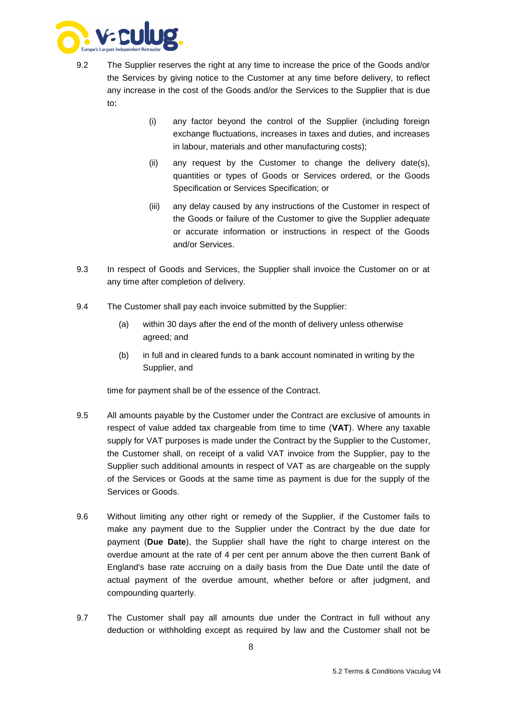

- 9.2 The Supplier reserves the right at any time to increase the price of the Goods and/or the Services by giving notice to the Customer at any time before delivery, to reflect any increase in the cost of the Goods and/or the Services to the Supplier that is due to:
	- (i) any factor beyond the control of the Supplier (including foreign exchange fluctuations, increases in taxes and duties, and increases in labour, materials and other manufacturing costs);
	- (ii) any request by the Customer to change the delivery date(s), quantities or types of Goods or Services ordered, or the Goods Specification or Services Specification; or
	- (iii) any delay caused by any instructions of the Customer in respect of the Goods or failure of the Customer to give the Supplier adequate or accurate information or instructions in respect of the Goods and/or Services.
- 9.3 In respect of Goods and Services, the Supplier shall invoice the Customer on or at any time after completion of delivery.
- 9.4 The Customer shall pay each invoice submitted by the Supplier:
	- (a) within 30 days after the end of the month of delivery unless otherwise agreed; and
	- (b) in full and in cleared funds to a bank account nominated in writing by the Supplier, and

time for payment shall be of the essence of the Contract.

- 9.5 All amounts payable by the Customer under the Contract are exclusive of amounts in respect of value added tax chargeable from time to time (**VAT**). Where any taxable supply for VAT purposes is made under the Contract by the Supplier to the Customer, the Customer shall, on receipt of a valid VAT invoice from the Supplier, pay to the Supplier such additional amounts in respect of VAT as are chargeable on the supply of the Services or Goods at the same time as payment is due for the supply of the Services or Goods.
- 9.6 Without limiting any other right or remedy of the Supplier, if the Customer fails to make any payment due to the Supplier under the Contract by the due date for payment (**Due Date**), the Supplier shall have the right to charge interest on the overdue amount at the rate of 4 per cent per annum above the then current Bank of England's base rate accruing on a daily basis from the Due Date until the date of actual payment of the overdue amount, whether before or after judgment, and compounding quarterly.
- 9.7 The Customer shall pay all amounts due under the Contract in full without any deduction or withholding except as required by law and the Customer shall not be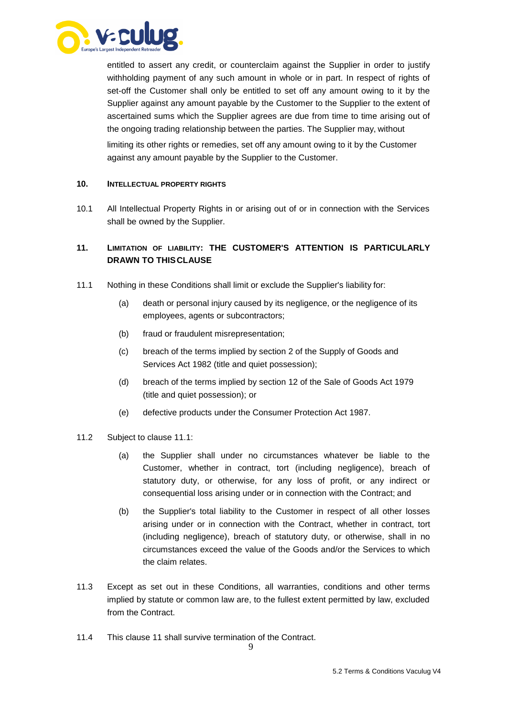

entitled to assert any credit, or counterclaim against the Supplier in order to justify withholding payment of any such amount in whole or in part. In respect of rights of set-off the Customer shall only be entitled to set off any amount owing to it by the Supplier against any amount payable by the Customer to the Supplier to the extent of ascertained sums which the Supplier agrees are due from time to time arising out of the ongoing trading relationship between the parties. The Supplier may, without

limiting its other rights or remedies, set off any amount owing to it by the Customer against any amount payable by the Supplier to the Customer.

#### **10. INTELLECTUAL PROPERTY RIGHTS**

10.1 All Intellectual Property Rights in or arising out of or in connection with the Services shall be owned by the Supplier.

# <span id="page-9-0"></span>**11. LIMITATION OF LIABILITY: THE CUSTOMER'S ATTENTION IS PARTICULARLY DRAWN TO THIS CLAUSE**

- <span id="page-9-1"></span>11.1 Nothing in these Conditions shall limit or exclude the Supplier's liability for:
	- (a) death or personal injury caused by its negligence, or the negligence of its employees, agents or subcontractors;
	- (b) fraud or fraudulent misrepresentation;
	- (c) breach of the terms implied by section 2 of the Supply of Goods and Services Act 1982 (title and quiet possession);
	- (d) breach of the terms implied by section 12 of the Sale of Goods Act 1979 (title and quiet possession); or
	- (e) defective products under the Consumer Protection Act 1987.
- 11.2 Subject to clause [11.1:](#page-9-1)
	- (a) the Supplier shall under no circumstances whatever be liable to the Customer, whether in contract, tort (including negligence), breach of statutory duty, or otherwise, for any loss of profit, or any indirect or consequential loss arising under or in connection with the Contract; and
	- (b) the Supplier's total liability to the Customer in respect of all other losses arising under or in connection with the Contract, whether in contract, tort (including negligence), breach of statutory duty, or otherwise, shall in no circumstances exceed the value of the Goods and/or the Services to which the claim relates.
- 11.3 Except as set out in these Conditions, all warranties, conditions and other terms implied by statute or common law are, to the fullest extent permitted by law, excluded from the Contract.
- 11.4 This clause [11 s](#page-9-0)hall survive termination of the Contract.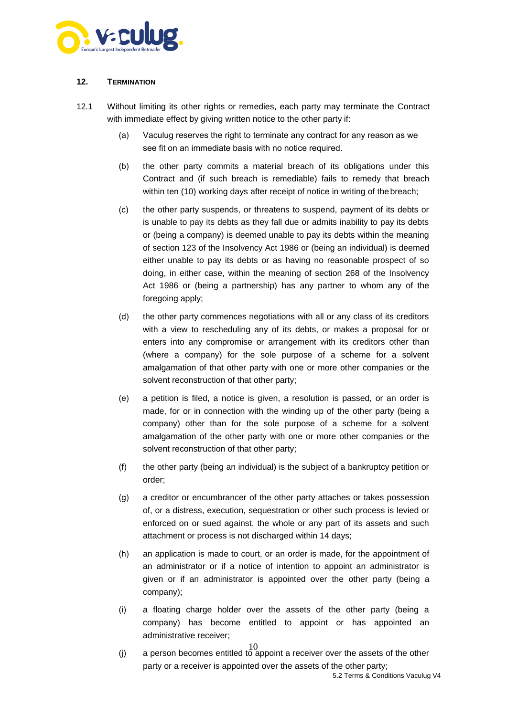

# **12. TERMINATION**

- <span id="page-10-1"></span><span id="page-10-0"></span>12.1 Without limiting its other rights or remedies, each party may terminate the Contract with immediate effect by giving written notice to the other party if:
	- (a) Vaculug reserves the right to terminate any contract for any reason as we see fit on an immediate basis with no notice required.
	- (b) the other party commits a material breach of its obligations under this Contract and (if such breach is remediable) fails to remedy that breach within ten (10) working days after receipt of notice in writing of the breach;
	- (c) the other party suspends, or threatens to suspend, payment of its debts or is unable to pay its debts as they fall due or admits inability to pay its debts or (being a company) is deemed unable to pay its debts within the meaning of section 123 of the Insolvency Act 1986 or (being an individual) is deemed either unable to pay its debts or as having no reasonable prospect of so doing, in either case, within the meaning of section 268 of the Insolvency Act 1986 or (being a partnership) has any partner to whom any of the foregoing apply;
	- (d) the other party commences negotiations with all or any class of its creditors with a view to rescheduling any of its debts, or makes a proposal for or enters into any compromise or arrangement with its creditors other than (where a company) for the sole purpose of a scheme for a solvent amalgamation of that other party with one or more other companies or the solvent reconstruction of that other party;
	- (e) a petition is filed, a notice is given, a resolution is passed, or an order is made, for or in connection with the winding up of the other party (being a company) other than for the sole purpose of a scheme for a solvent amalgamation of the other party with one or more other companies or the solvent reconstruction of that other party;
	- (f) the other party (being an individual) is the subject of a bankruptcy petition or order;
	- (g) a creditor or encumbrancer of the other party attaches or takes possession of, or a distress, execution, sequestration or other such process is levied or enforced on or sued against, the whole or any part of its assets and such attachment or process is not discharged within 14 days;
	- (h) an application is made to court, or an order is made, for the appointment of an administrator or if a notice of intention to appoint an administrator is given or if an administrator is appointed over the other party (being a company);
	- (i) a floating charge holder over the assets of the other party (being a company) has become entitled to appoint or has appointed an administrative receiver;
	- 10 (j) a person becomes entitled to appoint a receiver over the assets of the other party or a receiver is appointed over the assets of the other party;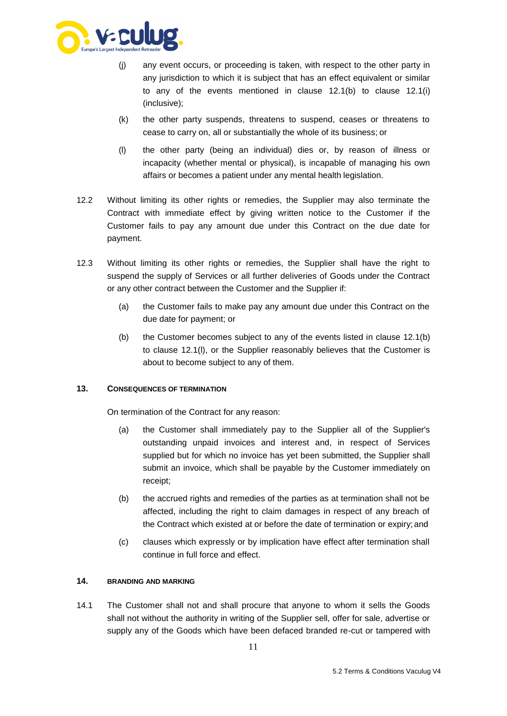

- (j) any event occurs, or proceeding is taken, with respect to the other party in any jurisdiction to which it is subject that has an effect equivalent or similar to any of the events mentioned in clause [12.1\(b\)](#page-10-0) to clause [12.1\(i\)](#page-10-1) (inclusive);
- (k) the other party suspends, threatens to suspend, ceases or threatens to cease to carry on, all or substantially the whole of its business; or
- (l) the other party (being an individual) dies or, by reason of illness or incapacity (whether mental or physical), is incapable of managing his own affairs or becomes a patient under any mental health legislation.
- <span id="page-11-0"></span>12.2 Without limiting its other rights or remedies, the Supplier may also terminate the Contract with immediate effect by giving written notice to the Customer if the Customer fails to pay any amount due under this Contract on the due date for payment.
- 12.3 Without limiting its other rights or remedies, the Supplier shall have the right to suspend the supply of Services or all further deliveries of Goods under the Contract or any other contract between the Customer and the Supplier if:
	- (a) the Customer fails to make pay any amount due under this Contract on the due date for payment; or
	- (b) the Customer becomes subject to any of the events listed in clause [12.1\(b\)](#page-10-0) to clause [12.1\(l\), o](#page-11-0)r the Supplier reasonably believes that the Customer is about to become subject to any of them.

#### **13. CONSEQUENCES OF TERMINATION**

On termination of the Contract for any reason:

- (a) the Customer shall immediately pay to the Supplier all of the Supplier's outstanding unpaid invoices and interest and, in respect of Services supplied but for which no invoice has yet been submitted, the Supplier shall submit an invoice, which shall be payable by the Customer immediately on receipt;
- (b) the accrued rights and remedies of the parties as at termination shall not be affected, including the right to claim damages in respect of any breach of the Contract which existed at or before the date of termination or expiry; and
- (c) clauses which expressly or by implication have effect after termination shall continue in full force and effect.

#### **14. BRANDING AND MARKING**

14.1 The Customer shall not and shall procure that anyone to whom it sells the Goods shall not without the authority in writing of the Supplier sell, offer for sale, advertise or supply any of the Goods which have been defaced branded re-cut or tampered with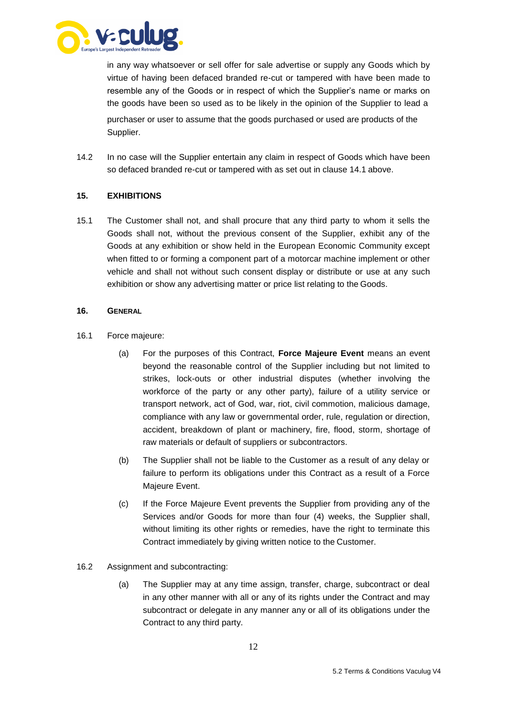

in any way whatsoever or sell offer for sale advertise or supply any Goods which by virtue of having been defaced branded re-cut or tampered with have been made to resemble any of the Goods or in respect of which the Supplier's name or marks on the goods have been so used as to be likely in the opinion of the Supplier to lead a purchaser or user to assume that the goods purchased or used are products of the Supplier.

14.2 In no case will the Supplier entertain any claim in respect of Goods which have been so defaced branded re-cut or tampered with as set out in clause 14.1 above.

#### **15. EXHIBITIONS**

15.1 The Customer shall not, and shall procure that any third party to whom it sells the Goods shall not, without the previous consent of the Supplier, exhibit any of the Goods at any exhibition or show held in the European Economic Community except when fitted to or forming a component part of a motorcar machine implement or other vehicle and shall not without such consent display or distribute or use at any such exhibition or show any advertising matter or price list relating to the Goods.

#### **16. GENERAL**

- <span id="page-12-0"></span>16.1 Force majeure:
	- (a) For the purposes of this Contract, **Force Majeure Event** means an event beyond the reasonable control of the Supplier including but not limited to strikes, lock-outs or other industrial disputes (whether involving the workforce of the party or any other party), failure of a utility service or transport network, act of God, war, riot, civil commotion, malicious damage, compliance with any law or governmental order, rule, regulation or direction, accident, breakdown of plant or machinery, fire, flood, storm, shortage of raw materials or default of suppliers or subcontractors.
	- (b) The Supplier shall not be liable to the Customer as a result of any delay or failure to perform its obligations under this Contract as a result of a Force Majeure Event.
	- (c) If the Force Majeure Event prevents the Supplier from providing any of the Services and/or Goods for more than four (4) weeks, the Supplier shall, without limiting its other rights or remedies, have the right to terminate this Contract immediately by giving written notice to the Customer.
- 16.2 Assignment and subcontracting:
	- (a) The Supplier may at any time assign, transfer, charge, subcontract or deal in any other manner with all or any of its rights under the Contract and may subcontract or delegate in any manner any or all of its obligations under the Contract to any third party.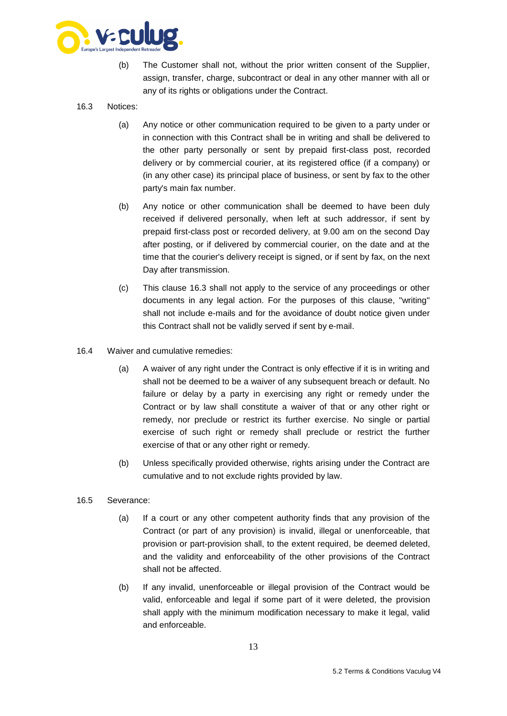

(b) The Customer shall not, without the prior written consent of the Supplier, assign, transfer, charge, subcontract or deal in any other manner with all or any of its rights or obligations under the Contract.

# <span id="page-13-0"></span>16.3 Notices:

- (a) Any notice or other communication required to be given to a party under or in connection with this Contract shall be in writing and shall be delivered to the other party personally or sent by prepaid first-class post, recorded delivery or by commercial courier, at its registered office (if a company) or (in any other case) its principal place of business, or sent by fax to the other party's main fax number.
- (b) Any notice or other communication shall be deemed to have been duly received if delivered personally, when left at such addressor, if sent by prepaid first-class post or recorded delivery, at 9.00 am on the second Day after posting, or if delivered by commercial courier, on the date and at the time that the courier's delivery receipt is signed, or if sent by fax, on the next Day after transmission.
- (c) This clause [16.3 s](#page-13-0)hall not apply to the service of any proceedings or other documents in any legal action. For the purposes of this clause, "writing" shall not include e-mails and for the avoidance of doubt notice given under this Contract shall not be validly served if sent by e-mail.
- 16.4 Waiver and cumulative remedies:
	- (a) A waiver of any right under the Contract is only effective if it is in writing and shall not be deemed to be a waiver of any subsequent breach or default. No failure or delay by a party in exercising any right or remedy under the Contract or by law shall constitute a waiver of that or any other right or remedy, nor preclude or restrict its further exercise. No single or partial exercise of such right or remedy shall preclude or restrict the further exercise of that or any other right or remedy.
	- (b) Unless specifically provided otherwise, rights arising under the Contract are cumulative and to not exclude rights provided by law.
- 16.5 Severance:
	- (a) If a court or any other competent authority finds that any provision of the Contract (or part of any provision) is invalid, illegal or unenforceable, that provision or part-provision shall, to the extent required, be deemed deleted, and the validity and enforceability of the other provisions of the Contract shall not be affected.
	- (b) If any invalid, unenforceable or illegal provision of the Contract would be valid, enforceable and legal if some part of it were deleted, the provision shall apply with the minimum modification necessary to make it legal, valid and enforceable.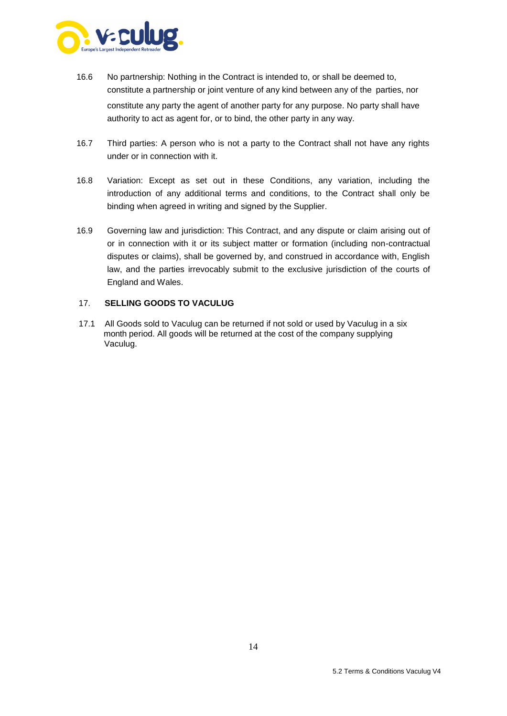

- 16.6 No partnership: Nothing in the Contract is intended to, or shall be deemed to, constitute a partnership or joint venture of any kind between any of the parties, nor constitute any party the agent of another party for any purpose. No party shall have authority to act as agent for, or to bind, the other party in any way.
- 16.7 Third parties: A person who is not a party to the Contract shall not have any rights under or in connection with it.
- <span id="page-14-0"></span>16.8 Variation: Except as set out in these Conditions, any variation, including the introduction of any additional terms and conditions, to the Contract shall only be binding when agreed in writing and signed by the Supplier.
- 16.9 Governing law and jurisdiction: This Contract, and any dispute or claim arising out of or in connection with it or its subject matter or formation (including non-contractual disputes or claims), shall be governed by, and construed in accordance with, English law, and the parties irrevocably submit to the exclusive jurisdiction of the courts of England and Wales.

#### 17. **SELLING GOODS TO VACULUG**

17.1 All Goods sold to Vaculug can be returned if not sold or used by Vaculug in a six month period. All goods will be returned at the cost of the company supplying Vaculug.